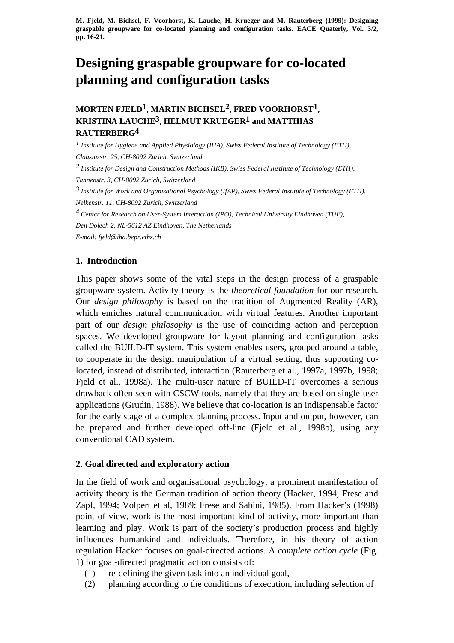# **Designing graspable groupware for co-located planning and configuration tasks**

## **MORTEN FJELD1, MARTIN BICHSEL2, FRED VOORHORST1, KRISTINA LAUCHE3, HELMUT KRUEGER1 and MATTHIAS RAUTERBERG4**

*1 Institute for Hygiene and Applied Physiology (IHA), Swiss Federal Institute of Technology (ETH), Clausiusstr. 25, CH-8092 Zurich, Switzerland 2 Institute for Design and Construction Methods (IKB), Swiss Federal Institute of Technology (ETH), Tannenstr. 3, CH-8092 Zurich, Switzerland 3 Institute for Work and Organisational Psychology (IfAP), Swiss Federal Institute of Technology (ETH), Nelkenstr. 11, CH-8092 Zurich, Switzerland*

*4 Center for Research on User-System Interaction (IPO), Technical University Eindhoven (TUE), Den Dolech 2, NL-5612 AZ Eindhoven, The Netherlands*

*E-mail: fjeld@iha.bepr.ethz.ch*

## **1. Introduction**

This paper shows some of the vital steps in the design process of a graspable groupware system. Activity theory is the *theoretical foundation* for our research. Our *design philosophy* is based on the tradition of Augmented Reality (AR), which enriches natural communication with virtual features. Another important part of our *design philosophy* is the use of coinciding action and perception spaces. We developed groupware for layout planning and configuration tasks called the BUILD-IT system. This system enables users, grouped around a table, to cooperate in the design manipulation of a virtual setting, thus supporting colocated, instead of distributed, interaction (Rauterberg et al., 1997a, 1997b, 1998; Fjeld et al., 1998a). The multi-user nature of BUILD-IT overcomes a serious drawback often seen with CSCW tools, namely that they are based on single-user applications (Grudin, 1988). We believe that co-location is an indispensable factor for the early stage of a complex planning process. Input and output, however, can be prepared and further developed off-line (Fjeld et al., 1998b), using any conventional CAD system.

## **2. Goal directed and exploratory action**

In the field of work and organisational psychology, a prominent manifestation of activity theory is the German tradition of action theory (Hacker, 1994; Frese and Zapf, 1994; Volpert et al, 1989; Frese and Sabini, 1985). From Hacker's (1998) point of view, work is the most important kind of activity, more important than learning and play. Work is part of the society's production process and highly influences humankind and individuals. Therefore, in his theory of action regulation Hacker focuses on goal-directed actions. A *complete action cycle* (Fig. 1) for goal-directed pragmatic action consists of:

- (1) re-defining the given task into an individual goal,
- (2) planning according to the conditions of execution, including selection of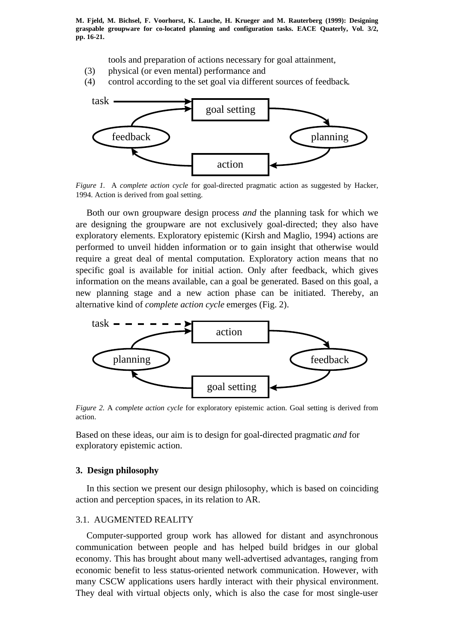tools and preparation of actions necessary for goal attainment,

- (3) physical (or even mental) performance and
- (4) control according to the set goal via different sources of feedback.



*Figure 1.* A *complete action cycle* for goal-directed pragmatic action as suggested by Hacker, 1994. Action is derived from goal setting.

Both our own groupware design process *and* the planning task for which we are designing the groupware are not exclusively goal-directed; they also have exploratory elements. Exploratory epistemic (Kirsh and Maglio, 1994) actions are performed to unveil hidden information or to gain insight that otherwise would require a great deal of mental computation. Exploratory action means that no specific goal is available for initial action. Only after feedback, which gives information on the means available, can a goal be generated. Based on this goal, a new planning stage and a new action phase can be initiated. Thereby, an alternative kind of *complete action cycle* emerges (Fig. 2).



*Figure 2.* A *complete action cycle* for exploratory epistemic action. Goal setting is derived from action.

Based on these ideas, our aim is to design for goal-directed pragmatic *and* for exploratory epistemic action.

#### **3. Design philosophy**

In this section we present our design philosophy, which is based on coinciding action and perception spaces, in its relation to AR.

#### 3.1. AUGMENTED REALITY

Computer-supported group work has allowed for distant and asynchronous communication between people and has helped build bridges in our global economy. This has brought about many well-advertised advantages, ranging from economic benefit to less status-oriented network communication. However, with many CSCW applications users hardly interact with their physical environment. They deal with virtual objects only, which is also the case for most single-user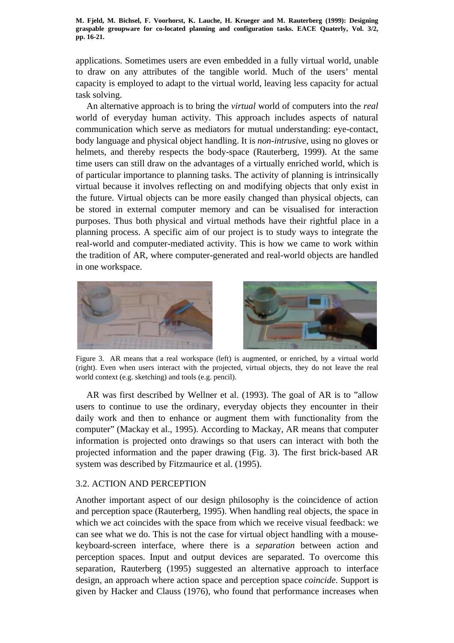applications. Sometimes users are even embedded in a fully virtual world, unable to draw on any attributes of the tangible world. Much of the users' mental capacity is employed to adapt to the virtual world, leaving less capacity for actual task solving.

An alternative approach is to bring the *virtual* world of computers into the *real* world of everyday human activity. This approach includes aspects of natural communication which serve as mediators for mutual understanding: eye-contact, body language and physical object handling. It is *non-intrusive*, using no gloves or helmets, and thereby respects the body-space (Rauterberg, 1999). At the same time users can still draw on the advantages of a virtually enriched world, which is of particular importance to planning tasks. The activity of planning is intrinsically virtual because it involves reflecting on and modifying objects that only exist in the future. Virtual objects can be more easily changed than physical objects, can be stored in external computer memory and can be visualised for interaction purposes. Thus both physical and virtual methods have their rightful place in a planning process. A specific aim of our project is to study ways to integrate the real-world and computer-mediated activity. This is how we came to work within the tradition of AR, where computer-generated and real-world objects are handled in one workspace.





Figure 3. AR means that a real workspace (left) is augmented, or enriched, by a virtual world (right). Even when users interact with the projected, virtual objects, they do not leave the real world context (e.g. sketching) and tools (e.g. pencil).

AR was first described by Wellner et al. (1993). The goal of AR is to "allow users to continue to use the ordinary, everyday objects they encounter in their daily work and then to enhance or augment them with functionality from the computer" (Mackay et al., 1995). According to Mackay, AR means that computer information is projected onto drawings so that users can interact with both the projected information and the paper drawing (Fig. 3). The first brick-based AR system was described by Fitzmaurice et al. (1995).

## 3.2. ACTION AND PERCEPTION

Another important aspect of our design philosophy is the coincidence of action and perception space (Rauterberg, 1995). When handling real objects, the space in which we act coincides with the space from which we receive visual feedback: we can see what we do. This is not the case for virtual object handling with a mousekeyboard-screen interface, where there is a *separation* between action and perception spaces. Input and output devices are separated. To overcome this separation, Rauterberg (1995) suggested an alternative approach to interface design, an approach where action space and perception space *coincide*. Support is given by Hacker and Clauss (1976), who found that performance increases when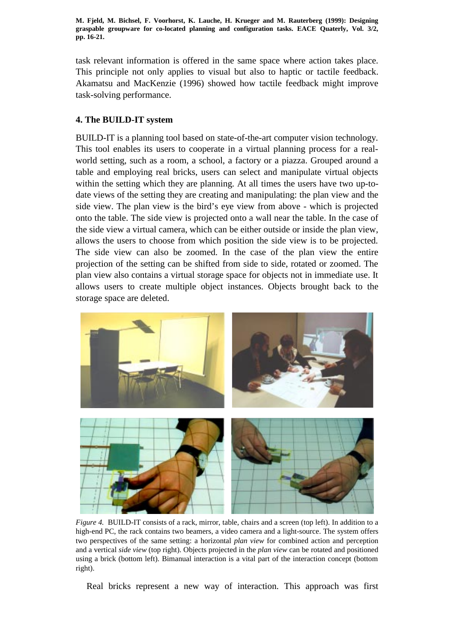task relevant information is offered in the same space where action takes place. This principle not only applies to visual but also to haptic or tactile feedback. Akamatsu and MacKenzie (1996) showed how tactile feedback might improve task-solving performance.

## **4. The BUILD-IT system**

BUILD-IT is a planning tool based on state-of-the-art computer vision technology. This tool enables its users to cooperate in a virtual planning process for a realworld setting, such as a room, a school, a factory or a piazza. Grouped around a table and employing real bricks, users can select and manipulate virtual objects within the setting which they are planning. At all times the users have two up-todate views of the setting they are creating and manipulating: the plan view and the side view. The plan view is the bird's eye view from above - which is projected onto the table. The side view is projected onto a wall near the table. In the case of the side view a virtual camera, which can be either outside or inside the plan view, allows the users to choose from which position the side view is to be projected. The side view can also be zoomed. In the case of the plan view the entire projection of the setting can be shifted from side to side, rotated or zoomed. The plan view also contains a virtual storage space for objects not in immediate use. It allows users to create multiple object instances. Objects brought back to the storage space are deleted.



*Figure 4.* BUILD-IT consists of a rack, mirror, table, chairs and a screen (top left). In addition to a high-end PC, the rack contains two beamers, a video camera and a light-source. The system offers two perspectives of the same setting: a horizontal *plan view* for combined action and perception and a vertical *side view* (top right). Objects projected in the *plan view* can be rotated and positioned using a brick (bottom left). Bimanual interaction is a vital part of the interaction concept (bottom right).

Real bricks represent a new way of interaction. This approach was first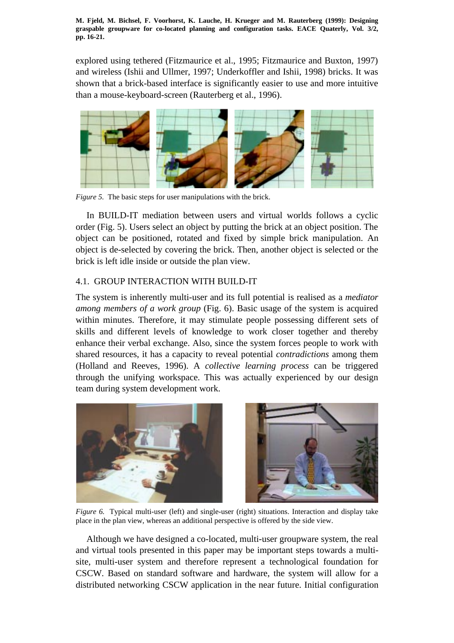explored using tethered (Fitzmaurice et al., 1995; Fitzmaurice and Buxton, 1997) and wireless (Ishii and Ullmer, 1997; Underkoffler and Ishii, 1998) bricks. It was shown that a brick-based interface is significantly easier to use and more intuitive than a mouse-keyboard-screen (Rauterberg et al., 1996).



*Figure 5.* The basic steps for user manipulations with the brick.

In BUILD-IT mediation between users and virtual worlds follows a cyclic order (Fig. 5). Users select an object by putting the brick at an object position. The object can be positioned, rotated and fixed by simple brick manipulation. An object is de-selected by covering the brick. Then, another object is selected or the brick is left idle inside or outside the plan view.

## 4.1. GROUP INTERACTION WITH BUILD-IT

The system is inherently multi-user and its full potential is realised as a *mediator among members of a work group* (Fig. 6). Basic usage of the system is acquired within minutes. Therefore, it may stimulate people possessing different sets of skills and different levels of knowledge to work closer together and thereby enhance their verbal exchange. Also, since the system forces people to work with shared resources, it has a capacity to reveal potential *contradictions* among them (Holland and Reeves, 1996). A *collective learning process* can be triggered through the unifying workspace. This was actually experienced by our design team during system development work.



*Figure 6.* Typical multi-user (left) and single-user (right) situations. Interaction and display take place in the plan view, whereas an additional perspective is offered by the side view.

Although we have designed a co-located, multi-user groupware system, the real and virtual tools presented in this paper may be important steps towards a multisite, multi-user system and therefore represent a technological foundation for CSCW. Based on standard software and hardware, the system will allow for a distributed networking CSCW application in the near future. Initial configuration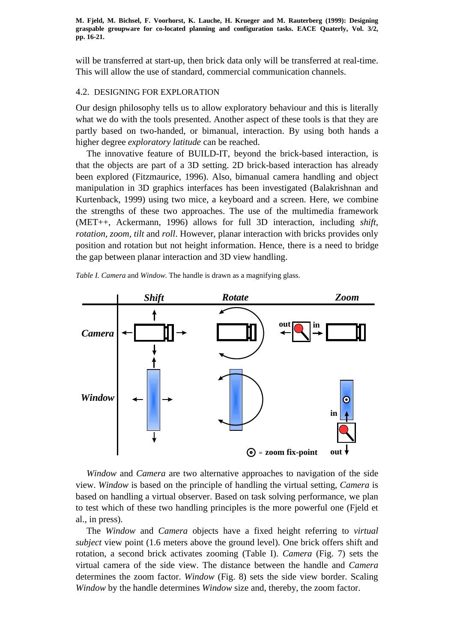will be transferred at start-up, then brick data only will be transferred at real-time. This will allow the use of standard, commercial communication channels.

#### 4.2. DESIGNING FOR EXPLORATION

Our design philosophy tells us to allow exploratory behaviour and this is literally what we do with the tools presented. Another aspect of these tools is that they are partly based on two-handed, or bimanual, interaction. By using both hands a higher degree *exploratory latitude* can be reached.

The innovative feature of BUILD-IT, beyond the brick-based interaction, is that the objects are part of a 3D setting. 2D brick-based interaction has already been explored (Fitzmaurice, 1996). Also, bimanual camera handling and object manipulation in 3D graphics interfaces has been investigated (Balakrishnan and Kurtenback, 1999) using two mice, a keyboard and a screen. Here, we combine the strengths of these two approaches. The use of the multimedia framework (MET++, Ackermann, 1996) allows for full 3D interaction, including *shift*, *rotation*, *zoom, tilt* and *roll*. However, planar interaction with bricks provides only position and rotation but not height information. Hence, there is a need to bridge the gap between planar interaction and 3D view handling.

*Table I. Camera* and *Window*. The handle is drawn as a magnifying glass.



*Window* and *Camera* are two alternative approaches to navigation of the side view. *Window* is based on the principle of handling the virtual setting, *Camera* is based on handling a virtual observer. Based on task solving performance, we plan to test which of these two handling principles is the more powerful one (Fjeld et al., in press).

The *Window* and *Camera* objects have a fixed height referring to *virtual subject* view point (1.6 meters above the ground level). One brick offers shift and rotation, a second brick activates zooming (Table I). *Camera* (Fig. 7) sets the virtual camera of the side view. The distance between the handle and *Camera* determines the zoom factor. *Window* (Fig. 8) sets the side view border. Scaling *Window* by the handle determines *Window* size and, thereby, the zoom factor.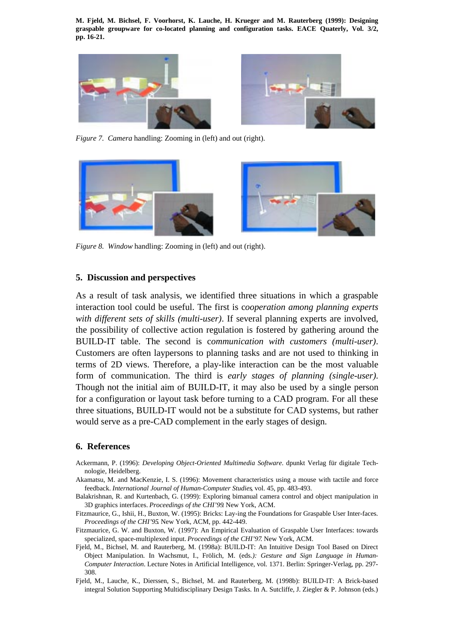



*Figure 7. Camera* handling: Zooming in (left) and out (right).



*Figure 8. Window* handling: Zooming in (left) and out (right).

#### **5. Discussion and perspectives**

As a result of task analysis, we identified three situations in which a graspable interaction tool could be useful. The first is c*ooperation among planning experts with different sets of skills (multi-user)*. If several planning experts are involved, the possibility of collective action regulation is fostered by gathering around the BUILD-IT table. The second is c*ommunication with customers (multi-user)*. Customers are often laypersons to planning tasks and are not used to thinking in terms of 2D views. Therefore, a play-like interaction can be the most valuable form of communication. The third is *early stages of planning (single-user)*. Though not the initial aim of BUILD-IT, it may also be used by a single person for a configuration or layout task before turning to a CAD program. For all these three situations, BUILD-IT would not be a substitute for CAD systems, but rather would serve as a pre-CAD complement in the early stages of design.

#### **6. References**

- Ackermann, P. (1996): *Developing Object-Oriented Multimedia Software*. dpunkt Verlag für digitale Technologie, Heidelberg.
- Akamatsu, M. and MacKenzie, I. S. (1996): Movement characteristics using a mouse with tactile and force feedback. *International Journal of Human-Computer Studies*, vol. 45, pp. 483-493.
- Balakrishnan, R. and Kurtenbach, G. (1999): Exploring bimanual camera control and object manipulation in 3D graphics interfaces. *Proceedings of the CHI'99*. New York, ACM.
- Fitzmaurice, G., Ishii, H., Buxton, W. (1995): Bricks: Lay-ing the Foundations for Graspable User Inter-faces. *Proceedings of the CHI'95*. New York, ACM, pp. 442-449.
- Fitzmaurice, G. W. and Buxton, W. (1997): An Empirical Evaluation of Graspable User Interfaces: towards specialized, space-multiplexed input. *Proceedings of the CHI'97*. New York, ACM.
- Fjeld, M., Bichsel, M. and Rauterberg, M. (1998a): BUILD-IT: An Intuitive Design Tool Based on Direct Object Manipulation. In Wachsmut, I., Frölich, M. (eds*.): Gesture and Sign Language in Human-Computer Interaction*. Lecture Notes in Artificial Intelligence, vol. 1371. Berlin: Springer-Verlag, pp. 297- 308.
- Fjeld, M., Lauche, K., Dierssen, S., Bichsel, M. and Rauterberg, M. (1998b): BUILD-IT: A Brick-based integral Solution Supporting Multidisciplinary Design Tasks. In A. Sutcliffe, J. Ziegler & P. Johnson (eds.)